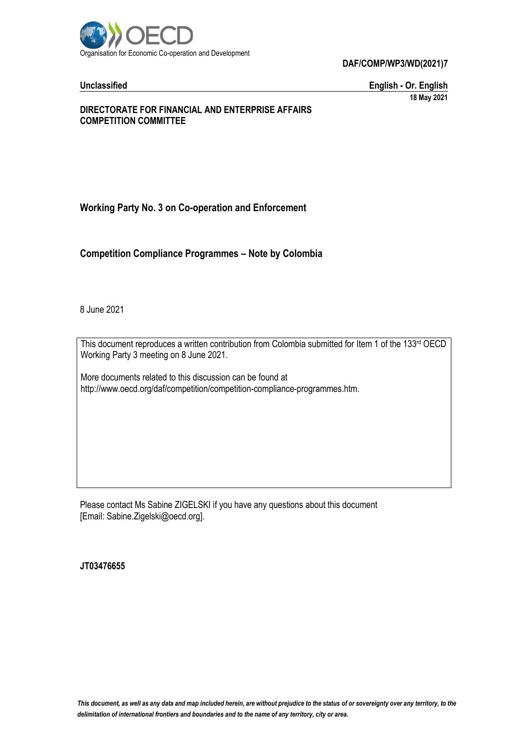

**DAF/COMP/WP3/WD(2021)7**

**Unclassified English - Or. English 18 May 2021**

## **DIRECTORATE FOR FINANCIAL AND ENTERPRISE AFFAIRS COMPETITION COMMITTEE**

# **Working Party No. 3 on Co-operation and Enforcement**

**Competition Compliance Programmes – Note by Colombia**

8 June 2021

This document reproduces a written contribution from Colombia submitted for Item 1 of the 133rd OECD Working Party 3 meeting on 8 June 2021.

More documents related to this discussion can be found at http://www.oecd.org/daf/competition/competition-compliance-programmes.htm.

Please contact Ms Sabine ZIGELSKI if you have any questions about this document [Email: Sabine.Zigelski@oecd.org].

**JT03476655**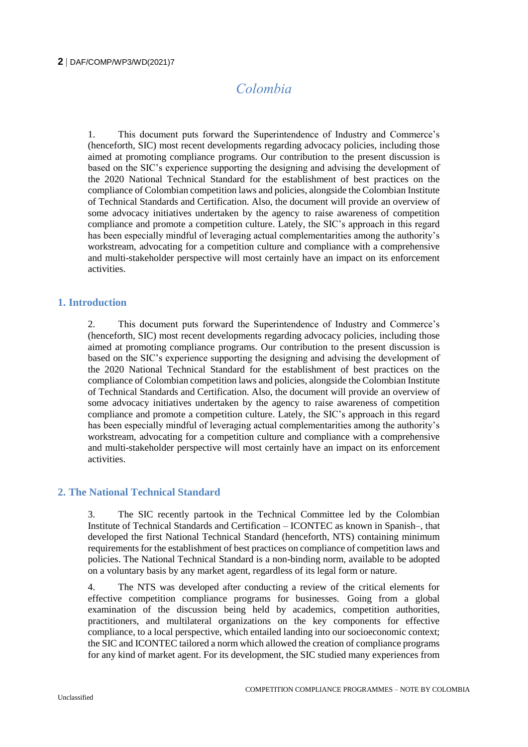# *Colombia*

1. This document puts forward the Superintendence of Industry and Commerce's (henceforth, SIC) most recent developments regarding advocacy policies, including those aimed at promoting compliance programs. Our contribution to the present discussion is based on the SIC's experience supporting the designing and advising the development of the 2020 National Technical Standard for the establishment of best practices on the compliance of Colombian competition laws and policies, alongside the Colombian Institute of Technical Standards and Certification. Also, the document will provide an overview of some advocacy initiatives undertaken by the agency to raise awareness of competition compliance and promote a competition culture. Lately, the SIC's approach in this regard has been especially mindful of leveraging actual complementarities among the authority's workstream, advocating for a competition culture and compliance with a comprehensive and multi-stakeholder perspective will most certainly have an impact on its enforcement activities.

# **1. Introduction**

2. This document puts forward the Superintendence of Industry and Commerce's (henceforth, SIC) most recent developments regarding advocacy policies, including those aimed at promoting compliance programs. Our contribution to the present discussion is based on the SIC's experience supporting the designing and advising the development of the 2020 National Technical Standard for the establishment of best practices on the compliance of Colombian competition laws and policies, alongside the Colombian Institute of Technical Standards and Certification. Also, the document will provide an overview of some advocacy initiatives undertaken by the agency to raise awareness of competition compliance and promote a competition culture. Lately, the SIC's approach in this regard has been especially mindful of leveraging actual complementarities among the authority's workstream, advocating for a competition culture and compliance with a comprehensive and multi-stakeholder perspective will most certainly have an impact on its enforcement activities.

# **2. The National Technical Standard**

3. The SIC recently partook in the Technical Committee led by the Colombian Institute of Technical Standards and Certification – ICONTEC as known in Spanish–, that developed the first National Technical Standard (henceforth, NTS) containing minimum requirements for the establishment of best practices on compliance of competition laws and policies. The National Technical Standard is a non-binding norm, available to be adopted on a voluntary basis by any market agent, regardless of its legal form or nature.

4. The NTS was developed after conducting a review of the critical elements for effective competition compliance programs for businesses. Going from a global examination of the discussion being held by academics, competition authorities, practitioners, and multilateral organizations on the key components for effective compliance, to a local perspective, which entailed landing into our socioeconomic context; the SIC and ICONTEC tailored a norm which allowed the creation of compliance programs for any kind of market agent. For its development, the SIC studied many experiences from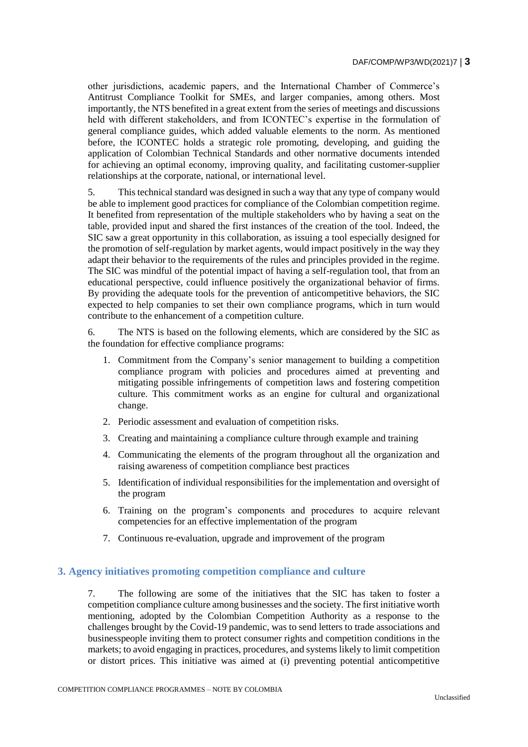other jurisdictions, academic papers, and the International Chamber of Commerce's Antitrust Compliance Toolkit for SMEs, and larger companies, among others. Most importantly, the NTS benefited in a great extent from the series of meetings and discussions held with different stakeholders, and from ICONTEC's expertise in the formulation of general compliance guides, which added valuable elements to the norm. As mentioned before, the ICONTEC holds a strategic role promoting, developing, and guiding the application of Colombian Technical Standards and other normative documents intended for achieving an optimal economy, improving quality, and facilitating customer-supplier relationships at the corporate, national, or international level.

5. This technical standard was designed in such a way that any type of company would be able to implement good practices for compliance of the Colombian competition regime. It benefited from representation of the multiple stakeholders who by having a seat on the table, provided input and shared the first instances of the creation of the tool. Indeed, the SIC saw a great opportunity in this collaboration, as issuing a tool especially designed for the promotion of self-regulation by market agents, would impact positively in the way they adapt their behavior to the requirements of the rules and principles provided in the regime. The SIC was mindful of the potential impact of having a self-regulation tool, that from an educational perspective, could influence positively the organizational behavior of firms. By providing the adequate tools for the prevention of anticompetitive behaviors, the SIC expected to help companies to set their own compliance programs, which in turn would contribute to the enhancement of a competition culture.

6. The NTS is based on the following elements, which are considered by the SIC as the foundation for effective compliance programs:

- 1. Commitment from the Company's senior management to building a competition compliance program with policies and procedures aimed at preventing and mitigating possible infringements of competition laws and fostering competition culture. This commitment works as an engine for cultural and organizational change.
- 2. Periodic assessment and evaluation of competition risks.
- 3. Creating and maintaining a compliance culture through example and training
- 4. Communicating the elements of the program throughout all the organization and raising awareness of competition compliance best practices
- 5. Identification of individual responsibilities for the implementation and oversight of the program
- 6. Training on the program's components and procedures to acquire relevant competencies for an effective implementation of the program
- 7. Continuous re-evaluation, upgrade and improvement of the program

## **3. Agency initiatives promoting competition compliance and culture**

7. The following are some of the initiatives that the SIC has taken to foster a competition compliance culture among businesses and the society. The first initiative worth mentioning, adopted by the Colombian Competition Authority as a response to the challenges brought by the Covid-19 pandemic, was to send letters to trade associations and businesspeople inviting them to protect consumer rights and competition conditions in the markets; to avoid engaging in practices, procedures, and systems likely to limit competition or distort prices. This initiative was aimed at (i) preventing potential anticompetitive